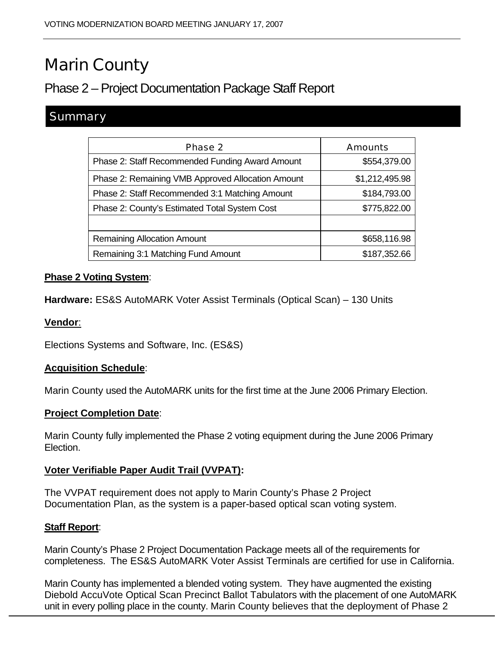# Marin County

## Phase 2 – Project Documentation Package Staff Report

### **Summary**

| <b>Phase 2</b>                                    | <b>Amounts</b> |
|---------------------------------------------------|----------------|
| Phase 2: Staff Recommended Funding Award Amount   | \$554,379.00   |
| Phase 2: Remaining VMB Approved Allocation Amount | \$1,212,495.98 |
| Phase 2: Staff Recommended 3:1 Matching Amount    | \$184,793.00   |
| Phase 2: County's Estimated Total System Cost     | \$775,822.00   |
|                                                   |                |
| <b>Remaining Allocation Amount</b>                | \$658,116.98   |
| Remaining 3:1 Matching Fund Amount                | \$187,352.66   |

#### **Phase 2 Voting System**:

**Hardware:** ES&S AutoMARK Voter Assist Terminals (Optical Scan) – 130 Units

#### **Vendor**:

Elections Systems and Software, Inc. (ES&S)

#### **Acquisition Schedule**:

Marin County used the AutoMARK units for the first time at the June 2006 Primary Election.

#### **Project Completion Date**:

Marin County fully implemented the Phase 2 voting equipment during the June 2006 Primary Election.

#### **Voter Verifiable Paper Audit Trail (VVPAT):**

The VVPAT requirement does not apply to Marin County's Phase 2 Project Documentation Plan, as the system is a paper-based optical scan voting system.

#### **Staff Report**:

Marin County's Phase 2 Project Documentation Package meets all of the requirements for completeness. The ES&S AutoMARK Voter Assist Terminals are certified for use in California.

Marin County has implemented a blended voting system. They have augmented the existing Diebold AccuVote Optical Scan Precinct Ballot Tabulators with the placement of one AutoMARK unit in every polling place in the county. Marin County believes that the deployment of Phase 2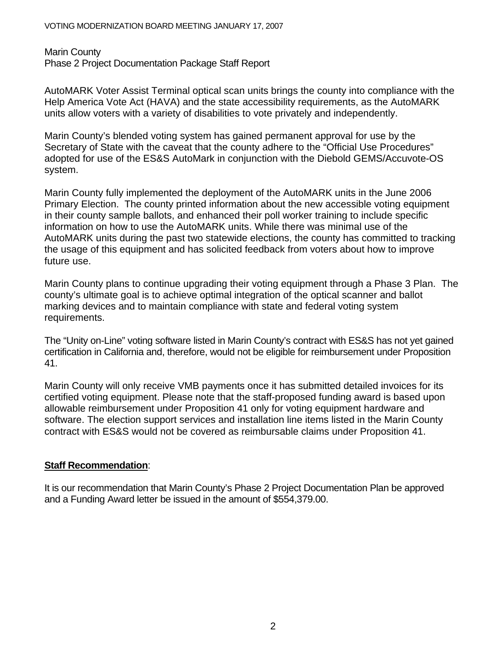Marin County Phase 2 Project Documentation Package Staff Report

AutoMARK Voter Assist Terminal optical scan units brings the county into compliance with the Help America Vote Act (HAVA) and the state accessibility requirements, as the AutoMARK units allow voters with a variety of disabilities to vote privately and independently.

Marin County's blended voting system has gained permanent approval for use by the Secretary of State with the caveat that the county adhere to the "Official Use Procedures" adopted for use of the ES&S AutoMark in conjunction with the Diebold GEMS/Accuvote-OS system.

Marin County fully implemented the deployment of the AutoMARK units in the June 2006 Primary Election. The county printed information about the new accessible voting equipment in their county sample ballots, and enhanced their poll worker training to include specific information on how to use the AutoMARK units. While there was minimal use of the AutoMARK units during the past two statewide elections, the county has committed to tracking the usage of this equipment and has solicited feedback from voters about how to improve future use.

Marin County plans to continue upgrading their voting equipment through a Phase 3 Plan. The county's ultimate goal is to achieve optimal integration of the optical scanner and ballot marking devices and to maintain compliance with state and federal voting system requirements.

The "Unity on-Line" voting software listed in Marin County's contract with ES&S has not yet gained certification in California and, therefore, would not be eligible for reimbursement under Proposition 41.

Marin County will only receive VMB payments once it has submitted detailed invoices for its certified voting equipment. Please note that the staff-proposed funding award is based upon allowable reimbursement under Proposition 41 only for voting equipment hardware and software. The election support services and installation line items listed in the Marin County contract with ES&S would not be covered as reimbursable claims under Proposition 41.

#### **Staff Recommendation**:

It is our recommendation that Marin County's Phase 2 Project Documentation Plan be approved and a Funding Award letter be issued in the amount of \$554,379.00.